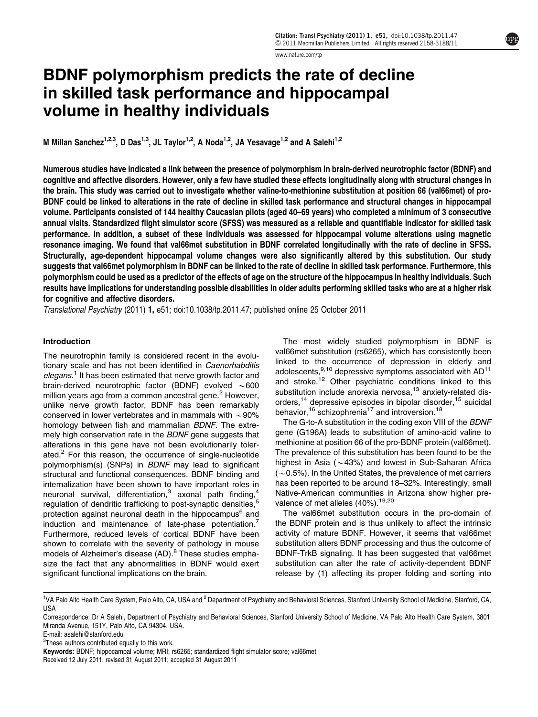[www.nature.com/tp](http://www.nature.com/tp)

# BDNF polymorphism predicts the rate of decline in skilled task performance and hippocampal volume in healthy individuals

M Millan Sanchez<sup>1,2,3</sup>, D Das<sup>1,3</sup>, JL Taylor<sup>1,2</sup>, A Noda<sup>1,2</sup>, JA Yesavage<sup>1,2</sup> and A Salehi<sup>1,2</sup>

Numerous studies have indicated a link between the presence of polymorphism in brain-derived neurotrophic factor (BDNF) and cognitive and affective disorders. However, only a few have studied these effects longitudinally along with structural changes in the brain. This study was carried out to investigate whether valine-to-methionine substitution at position 66 (val66met) of pro-BDNF could be linked to alterations in the rate of decline in skilled task performance and structural changes in hippocampal volume. Participants consisted of 144 healthy Caucasian pilots (aged 40–69 years) who completed a minimum of 3 consecutive annual visits. Standardized flight simulator score (SFSS) was measured as a reliable and quantifiable indicator for skilled task performance. In addition, a subset of these individuals was assessed for hippocampal volume alterations using magnetic resonance imaging. We found that val66met substitution in BDNF correlated longitudinally with the rate of decline in SFSS. Structurally, age-dependent hippocampal volume changes were also significantly altered by this substitution. Our study suggests that val66met polymorphism in BDNF can be linked to the rate of decline in skilled task performance. Furthermore, this polymorphism could be used as a predictor of the effects of age on the structure of the hippocampus in healthy individuals. Such results have implications for understanding possible disabilities in older adults performing skilled tasks who are at a higher risk for cognitive and affective disorders.

Translational Psychiatry (2011) 1, e51; doi:[10.1038/tp.2011.47](http://dx.doi.org/10.1038/tp.2011.47); published online 25 October 2011

## Introduction

The neurotrophin family is considered recent in the evolutionary scale and has not been identified in Caenorhabditis elegans.<sup>[1](#page-6-0)</sup> It has been estimated that nerve growth factor and brain-derived neurotrophic factor (BDNF) evolved  $\sim$  600 million years ago from a common ancestral gene.<sup>[2](#page-6-0)</sup> However, unlike nerve growth factor, BDNF has been remarkably conserved in lower vertebrates and in mammals with  $\sim$  90% homology between fish and mammalian BDNF. The extremely high conservation rate in the BDNF gene suggests that alterations in this gene have not been evolutionarily toler-ated.<sup>[2](#page-6-0)</sup> For this reason, the occurrence of single-nucleotide polymorphism(s) (SNPs) in BDNF may lead to significant structural and functional consequences. BDNF binding and internalization have been shown to have important roles in neuronal survival, differentiation, $3$  axonal path finding, $4$ regulation of dendritic trafficking to post-synaptic densities,<sup>5</sup> protection against neuronal death in the hippocampus<sup>[6](#page-6-0)</sup> and induction and maintenance of late-phase potentiation.<sup>[7](#page-6-0)</sup> Furthermore, reduced levels of cortical BDNF have been shown to correlate with the severity of pathology in mouse models of Alzheimer's disease (AD).<sup>[8](#page-6-0)</sup> These studies emphasize the fact that any abnormalities in BDNF would exert significant functional implications on the brain.

The most widely studied polymorphism in BDNF is val66met substitution (rs6265), which has consistently been linked to the occurrence of depression in elderly and adolescents,  $9,10$  depressive symptoms associated with AD<sup>[11](#page-6-0)</sup> and stroke.[12](#page-6-0) Other psychiatric conditions linked to this substitution include anorexia nervosa,[13](#page-6-0) anxiety-related dis-orders,<sup>[14](#page-6-0)</sup> depressive episodes in bipolar disorder,<sup>[15](#page-6-0)</sup> suicidal behavior,<sup>[16](#page-6-0)</sup> schizophrenia<sup>[17](#page-6-0)</sup> and introversion.<sup>[18](#page-6-0)</sup>

The G-to-A substitution in the coding exon VIII of the BDNF gene (G196A) leads to substitution of amino-acid valine to methionine at position 66 of the pro-BDNF protein (val66met). The prevalence of this substitution has been found to be the highest in Asia ( $\sim$ 43%) and lowest in Sub-Saharan Africa  $(-0.5%)$ . In the United States, the prevalence of met carriers has been reported to be around 18–32%. Interestingly, small Native-American communities in Arizona show higher pre-valence of met alleles (40%).<sup>[19,20](#page-6-0)</sup>

The val66met substitution occurs in the pro-domain of the BDNF protein and is thus unlikely to affect the intrinsic activity of mature BDNF. However, it seems that val66met substitution alters BDNF processing and thus the outcome of BDNF-TrkB signaling. It has been suggested that val66met substitution can alter the rate of activity-dependent BDNF release by (1) affecting its proper folding and sorting into

<sup>&</sup>lt;sup>1</sup>VA Palo Alto Health Care System, Palo Alto, CA, USA and <sup>2</sup> Department of Psychiatry and Behavioral Sciences, Stanford University School of Medicine, Stanford, CA, USA

Correspondence: Dr A Salehi, Department of Psychiatry and Behavioral Sciences, Stanford University School of Medicine, VA Palo Alto Health Care System, 3801 Miranda Avenue, 151Y, Palo Alto, CA 94304, USA.

E-mail: [asalehi@stanford.edu](mailto:asalehi@stanford.edu)

 $3$ These authors contributed equally to this work.

Keywords: BDNF; hippocampal volume; MRI; rs6265; standardized flight simulator score; val66met

Received 12 July 2011; revised 31 August 2011; accepted 31 August 2011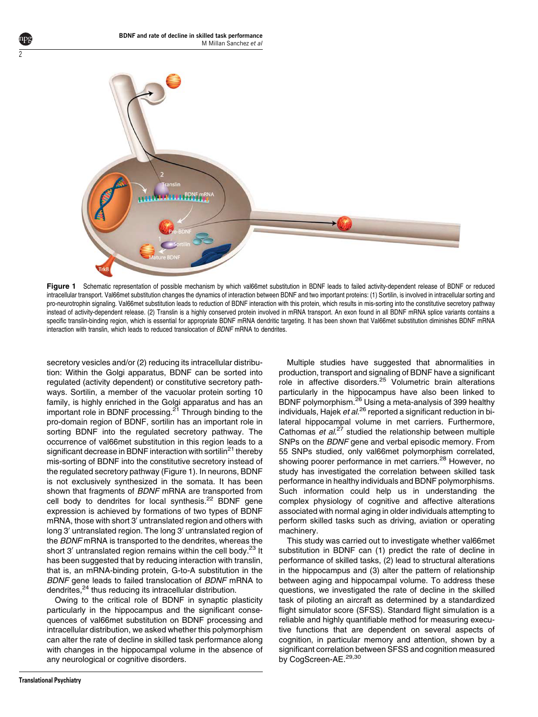

Figure 1 Schematic representation of possible mechanism by which val66met substitution in BDNF leads to failed activity-dependent release of BDNF or reduced intracellular transport. Val66met substitution changes the dynamics of interaction between BDNF and two important proteins: (1) Sortilin, is involved in intracellular sorting and pro-neurotrophin signaling. Val66met substitution leads to reduction of BDNF interaction with this protein, which results in mis-sorting into the constitutive secretory pathway instead of activity-dependent release. (2) Translin is a highly conserved protein involved in mRNA transport. An exon found in all BDNF mRNA splice variants contains a specific translin-binding region, which is essential for appropriate BDNF mRNA dendritic targeting. It has been shown that Val66met substitution diminishes BDNF mRNA interaction with translin, which leads to reduced translocation of BDNF mRNA to dendrites.

secretory vesicles and/or (2) reducing its intracellular distribution: Within the Golgi apparatus, BDNF can be sorted into regulated (activity dependent) or constitutive secretory pathways. Sortilin, a member of the vacuolar protein sorting 10 family, is highly enriched in the Golgi apparatus and has an important role in BDNF processing.<sup>[21](#page-6-0)</sup> Through binding to the pro-domain region of BDNF, sortilin has an important role in sorting BDNF into the regulated secretory pathway. The occurrence of val66met substitution in this region leads to a significant decrease in BDNF interaction with sortilin<sup>[21](#page-6-0)</sup> thereby mis-sorting of BDNF into the constitutive secretory instead of the regulated secretory pathway (Figure 1). In neurons, BDNF is not exclusively synthesized in the somata. It has been shown that fragments of BDNF mRNA are transported from [cell](#page-6-0) [body](#page-6-0) [to](#page-6-0) [dendrites](#page-6-0) [for](#page-6-0) [local](#page-6-0) synthesis.<sup>22</sup> BDNF gene expression is achieved by formations of two types of BDNF  $mRNA$ , those with short 3' untranslated region and others with long 3' untranslated region. The long 3' untranslated region of the BDNF mRNA is transported to the dendrites, whereas the short  $3'$  untranslated region remains within the cell body. $^{23}$  $^{23}$  $^{23}$  It has been suggested that by reducing interaction with translin, that is, an mRNA-binding protein, G-to-A substitution in the BDNF gene leads to failed translocation of BDNF mRNA to dendrites,<sup>[24](#page-6-0)</sup> thus reducing its intracellular distribution.

Owing to the critical role of BDNF in synaptic plasticity particularly in the hippocampus and the significant consequences of val66met substitution on BDNF processing and intracellular distribution, we asked whether this polymorphism can alter the rate of decline in skilled task performance along with changes in the hippocampal volume in the absence of any neurological or cognitive disorders.

**Translational Psychiatry**

<span id="page-1-0"></span>2

Multiple studies have suggested that abnormalities in production, transport and signaling of BDNF have a significant role in affective disorders.[25](#page-6-0) Volumetric brain alterations particularly in the hippocampus have also been linked to BDNF polymorphism.<sup>[26](#page-6-0)</sup> Using a meta-analysis of 399 healthy individuals, Hajek et al.<sup>[26](#page-6-0)</sup> reported a significant reduction in bilateral hippocampal volume in met carriers. Furthermore, Cathomas et al.<sup>[27](#page-6-0)</sup> studied the relationship between multiple SNPs on the BDNF gene and verbal episodic memory. From 55 SNPs studied, only val66met polymorphism correlated, showing poorer performance in met carriers.<sup>[28](#page-6-0)</sup> However, no study has investigated the correlation between skilled task performance in healthy individuals and BDNF polymorphisms. Such information could help us in understanding the complex physiology of cognitive and affective alterations associated with normal aging in older individuals attempting to perform skilled tasks such as driving, aviation or operating machinery.

This study was carried out to investigate whether val66met substitution in BDNF can (1) predict the rate of decline in performance of skilled tasks, (2) lead to structural alterations in the hippocampus and (3) alter the pattern of relationship between aging and hippocampal volume. To address these questions, we investigated the rate of decline in the skilled task of piloting an aircraft as determined by a standardized flight simulator score (SFSS). Standard flight simulation is a reliable and highly quantifiable method for measuring executive functions that are dependent on several aspects of cognition, in particular memory and attention, shown by a significant correlation between SFSS and cognition measured by CogScreen-AE.<sup>[29,30](#page-6-0)</sup>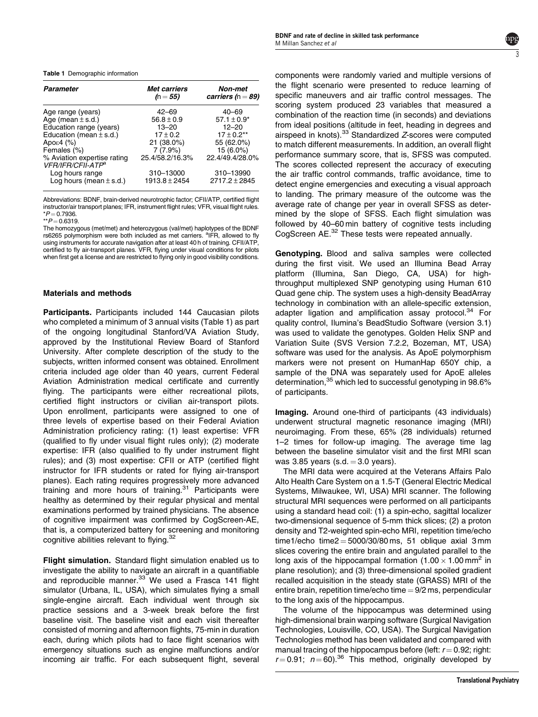<span id="page-2-0"></span>Table 1 Demographic information

| Parameter                                                    | Met carriers<br>(n = 55)       | <b>Non-met</b><br>carriers ( $n = 89$ ) |
|--------------------------------------------------------------|--------------------------------|-----------------------------------------|
| Age range (years)                                            | $42 - 69$                      | $40 - 69$                               |
| Age (mean $\pm$ s.d.)                                        | $56.8 \pm 0.9$                 | $57.1 \pm 0.9^*$                        |
| Education range (years)                                      | $13 - 20$                      | $12 - 20$                               |
| Education (mean $\pm$ s.d.)                                  | $17 \pm 0.2$                   | $17 \pm 0.2$ **                         |
| Apoε4 $(\%)$                                                 | 21 (38.0%)                     | 55 (62.0%)                              |
| Females (%)                                                  | 7(7.9%)                        | 15 (6.0%)                               |
| % Aviation expertise rating<br>VFR/IFR/CFII-ATP <sup>a</sup> | 25.4/58.2/16.3%                | 22.4/49.4/28.0%                         |
| Log hours range<br>Log hours (mean $\pm$ s.d.)               | 310-13000<br>$1913.8 \pm 2454$ | 310-13990<br>$2717.2 \pm 2845$          |

Abbreviations: BDNF, brain-derived neurotrophic factor; CFII/ATP, certified flight instructor/air transport planes; IFR, instrument flight rules; VFR, visual flight rules.  $*P - 0.7936$ 

The homozygous (met/met) and heterozygous (val/met) haplotypes of the BDNF rs6265 polymorphism were both included as met carriers. <sup>a</sup>IFR, allowed to fly using instruments for accurate navigation after at least 40 h of training. CFII/ATP, certified to fly air-transport planes. VFR, flying under visual conditions for pilots when first get a license and are restricted to flying only in good visibility conditions.

#### Materials and methods

Participants. Participants included 144 Caucasian pilots who completed a minimum of 3 annual visits (Table 1) as part of the ongoing longitudinal Stanford/VA Aviation Study, approved by the Institutional Review Board of Stanford University. After complete description of the study to the subjects, written informed consent was obtained. Enrollment criteria included age older than 40 years, current Federal Aviation Administration medical certificate and currently flying. The participants were either recreational pilots, certified flight instructors or civilian air-transport pilots. Upon enrollment, participants were assigned to one of three levels of expertise based on their Federal Aviation Administration proficiency rating: (1) least expertise: VFR (qualified to fly under visual flight rules only); (2) moderate expertise: IFR (also qualified to fly under instrument flight rules); and (3) most expertise: CFII or ATP (certified flight instructor for IFR students or rated for flying air-transport planes). Each rating requires progressively more advanced training and more hours of training. $31$  Participants were healthy as determined by their regular physical and mental examinations performed by trained physicians. The absence of cognitive impairment was confirmed by CogScreen-AE, that is, a computerized battery for screening and monitoring cognitive abilities relevant to flying.<sup>[32](#page-7-0)</sup>

Flight simulation. Standard flight simulation enabled us to investigate the ability to navigate an aircraft in a quantifiable and reproducible manner.<sup>[33](#page-7-0)</sup> We used a Frasca 141 flight simulator (Urbana, IL, USA), which simulates flying a small single-engine aircraft. Each individual went through six practice sessions and a 3-week break before the first baseline visit. The baseline visit and each visit thereafter consisted of morning and afternoon flights, 75-min in duration each, during which pilots had to face flight scenarios with emergency situations such as engine malfunctions and/or incoming air traffic. For each subsequent flight, several components were randomly varied and multiple versions of the flight scenario were presented to reduce learning of specific maneuvers and air traffic control messages. The scoring system produced 23 variables that measured a combination of the reaction time (in seconds) and deviations from ideal positions (altitude in feet, heading in degrees and airspeed in knots).<sup>[33](#page-7-0)</sup> Standardized Z-scores were computed to match different measurements. In addition, an overall flight performance summary score, that is, SFSS was computed. The scores collected represent the accuracy of executing the air traffic control commands, traffic avoidance, time to detect engine emergencies and executing a visual approach to landing. The primary measure of the outcome was the average rate of change per year in overall SFSS as determined by the slope of SFSS. Each flight simulation was followed by 40–60 min battery of cognitive tests including CogScreen AE.[32](#page-7-0) These tests were repeated annually.

Genotyping. Blood and saliva samples were collected during the first visit. We used an Illumina Bead Array platform (Illumina, San Diego, CA, USA) for highthroughput multiplexed SNP genotyping using Human 610 Quad gene chip. The system uses a high-density BeadArray technology in combination with an allele-specific extension, adapter ligation and amplification assay protocol.<sup>[34](#page-7-0)</sup> For quality control, Ilumina's BeadStudio Software (version 3.1) was used to validate the genotypes. Golden Helix SNP and Variation Suite (SVS Version 7.2.2, Bozeman, MT, USA) software was used for the analysis. As ApoE polymorphism markers were not present on HumanHap 650Y chip, a sample of the DNA was separately used for ApoE alleles determination, [35](#page-7-0) which led to successful genotyping in 98.6% of participants.

Imaging. Around one-third of participants (43 individuals) underwent structural magnetic resonance imaging (MRI) neuroimaging. From these, 65% (28 individuals) returned 1–2 times for follow-up imaging. The average time lag between the baseline simulator visit and the first MRI scan was 3.85 years (s.d.  $=$  3.0 years).

The MRI data were acquired at the Veterans Affairs Palo Alto Health Care System on a 1.5-T (General Electric Medical Systems, Milwaukee, WI, USA) MRI scanner. The following structural MRI sequences were performed on all participants using a standard head coil: (1) a spin-echo, sagittal localizer two-dimensional sequence of 5-mm thick slices; (2) a proton density and T2-weighted spin-echo MRI, repetition time/echo time1/echo time2 =  $5000/30/80$  ms, 51 oblique axial 3 mm slices covering the entire brain and angulated parallel to the long axis of the hippocampal formation (1.00  $\times$  1.00 mm<sup>2</sup> in plane resolution); and (3) three-dimensional spoiled gradient recalled acquisition in the steady state (GRASS) MRI of the entire brain, repetition time/echo time  $= 9/2$  ms, perpendicular to the long axis of the hippocampus.

The volume of the hippocampus was determined using high-dimensional brain warping software (Surgical Navigation Technologies, Louisville, CO, USA). The Surgical Navigation Technologies method has been validated and compared with manual tracing of the hippocampus before (left:  $r = 0.92$ ; right:  $r = 0.91$ ;  $n = 60$ ).<sup>[36](#page-7-0)</sup> This method, originally developed by

3

 $*$  $P = 0.6319$ .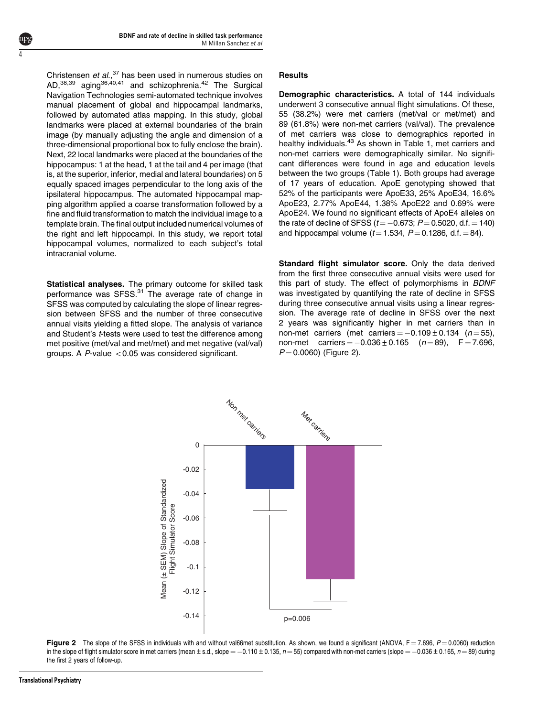Christensen et al., [37](#page-7-0) has been used in numerous studies on AD,<sup>[38,39](#page-7-0)</sup> aging<sup>[36,40,41](#page-7-0)</sup> and schizophrenia.<sup>[42](#page-7-0)</sup> The Surgical Navigation Technologies semi-automated technique involves manual placement of global and hippocampal landmarks, followed by automated atlas mapping. In this study, global landmarks were placed at external boundaries of the brain image (by manually adjusting the angle and dimension of a three-dimensional proportional box to fully enclose the brain). Next, 22 local landmarks were placed at the boundaries of the hippocampus: 1 at the head, 1 at the tail and 4 per image (that is, at the superior, inferior, medial and lateral boundaries) on 5 equally spaced images perpendicular to the long axis of the ipsilateral hippocampus. The automated hippocampal mapping algorithm applied a coarse transformation followed by a fine and fluid transformation to match the individual image to a template brain. The final output included numerical volumes of the right and left hippocampi. In this study, we report total hippocampal volumes, normalized to each subject's total intracranial volume.

Statistical analyses. The primary outcome for skilled task performance was SFSS.<sup>[31](#page-6-0)</sup> The average rate of change in SFSS was computed by calculating the slope of linear regression between SFSS and the number of three consecutive annual visits yielding a fitted slope. The analysis of variance and Student's t-tests were used to test the difference among met positive (met/val and met/met) and met negative (val/val) groups. A  $P$ -value  $< 0.05$  was considered significant.

## **Results**

Demographic characteristics. A total of 144 individuals underwent 3 consecutive annual flight simulations. Of these, 55 (38.2%) were met carriers (met/val or met/met) and 89 (61.8%) were non-met carriers (val/val). The prevalence of met carriers was close to demographics reported in healthy individuals.<sup>[43](#page-7-0)</sup> As shown in [Table 1](#page-2-0), met carriers and non-met carriers were demographically similar. No significant differences were found in age and education levels between the two groups [\(Table 1](#page-2-0)). Both groups had average of 17 years of education. ApoE genotyping showed that 52% of the participants were ApoE33, 25% ApoE34, 16.6% ApoE23, 2.77% ApoE44, 1.38% ApoE22 and 0.69% were ApoE24. We found no significant effects of ApoE4 alleles on the rate of decline of SFSS ( $t = -0.673$ ;  $P = 0.5020$ , d.f.  $= 140$ ) and hippocampal volume ( $t = 1.534$ ,  $P = 0.1286$ , d.f.  $= 84$ ).

Standard flight simulator score. Only the data derived from the first three consecutive annual visits were used for this part of study. The effect of polymorphisms in BDNF was investigated by quantifying the rate of decline in SFSS during three consecutive annual visits using a linear regression. The average rate of decline in SFSS over the next 2 years was significantly higher in met carriers than in non-met carriers (met carriers  $= -0.109 \pm 0.134$  ( $n = 55$ ), non-met carriers  $= -0.036 \pm 0.165$   $(n = 89)$ ,  $F = 7.696$ ,  $P = 0.0060$  (Figure 2).



Figure 2 The slope of the SFSS in individuals with and without val66met substitution. As shown, we found a significant (ANOVA,  $F = 7.696$ ,  $P = 0.0060$ ) reduction in the slope of flight simulator score in met carriers (mean  $\pm$  s.d., slope =  $-0.110 \pm 0.135$ ,  $n = 55$ ) compared with non-met carriers (slope =  $-0.036 \pm 0.165$ ,  $n = 89$ ) during the first 2 years of follow-up.

4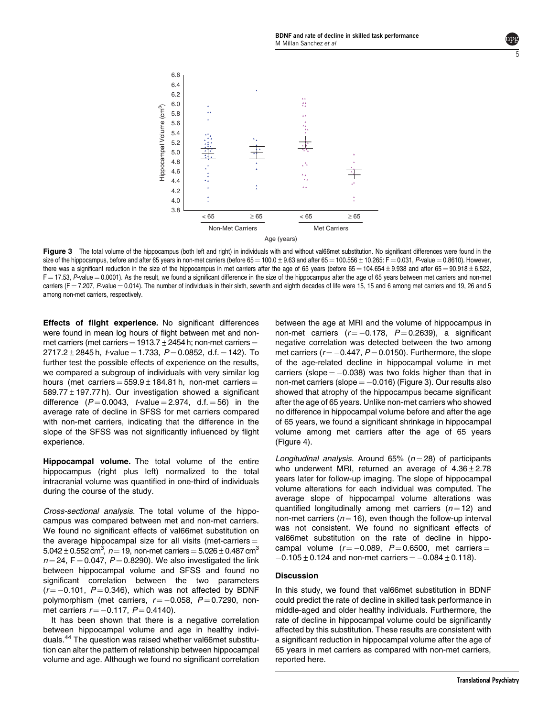BDNF and rate of decline in skilled task performance M Millan Sanchez et al



Figure 3 The total volume of the hippocampus (both left and right) in individuals with and without val66met substitution. No significant differences were found in the size of the hippocampus, before and after 65 years in non-met carriers (before  $65 = 100.0 \pm 9.63$  and after  $65 = 100.556 \pm 10.265$ : F = 0.031, P-value = 0.8610). However, there was a significant reduction in the size of the hippocampus in met carriers after the age of 65 years (before  $65 = 104.654 \pm 9.938$  and after  $65 = 90.918 \pm 6.522$ ,  $F = 17.53$ , P-value  $= 0.0001$ ). As the result, we found a significant difference in the size of the hippocampus after the age of 65 years between met carriers and non-met carriers (F  $=$  7.207, P-value  $=$  0.014). The number of individuals in their sixth, seventh and eighth decades of life were 15, 15 and 6 among met carriers and 19, 26 and 5 among non-met carriers, respectively.

Effects of flight experience. No significant differences were found in mean log hours of flight between met and nonmet carriers (met carriers =  $1913.7 \pm 2454$  h; non-met carriers =  $2717.2 \pm 2845$  h,  $t$ -value = 1.733,  $P = 0.0852$ , d.f. = 142). To further test the possible effects of experience on the results, we compared a subgroup of individuals with very similar log hours (met carriers =  $559.9 \pm 184.81$  h, non-met carriers = 589.77  $\pm$  197.77 h). Our investigation showed a significant difference ( $P = 0.0043$ ,  $t$ -value = 2.974, d.f. = 56) in the average rate of decline in SFSS for met carriers compared with non-met carriers, indicating that the difference in the slope of the SFSS was not significantly influenced by flight experience.

Hippocampal volume. The total volume of the entire hippocampus (right plus left) normalized to the total intracranial volume was quantified in one-third of individuals during the course of the study.

Cross-sectional analysis. The total volume of the hippocampus was compared between met and non-met carriers. We found no significant effects of val66met substitution on the average hippocampal size for all visits (met-carriers  $=$  $5.042 \pm 0.552$  cm $^3$ ,  $n$   $=$  19, non-met carriers  $=$   $5.026 \pm 0.487$  cm $^3$  $n = 24$ , F  $= 0.047$ , P  $= 0.8290$ ). We also investigated the link between hippocampal volume and SFSS and found no significant correlation between the two parameters  $(r = -0.101, P = 0.346)$ , which was not affected by BDNF polymorphism (met carriers,  $r = -0.058$ ,  $P = 0.7290$ , nonmet carriers  $r = -0.117$ ,  $P = 0.4140$ .

It has been shown that there is a negative correlation between hippocampal volume and age in healthy individuals.[44](#page-7-0) The question was raised whether val66met substitution can alter the pattern of relationship between hippocampal volume and age. Although we found no significant correlation between the age at MRI and the volume of hippocampus in non-met carriers  $(r = -0.178, P = 0.2639)$ , a significant negative correlation was detected between the two among met carriers ( $r = -0.447$ ,  $P = 0.0150$ ). Furthermore, the slope of the age-related decline in hippocampal volume in met carriers (slope  $= -0.038$ ) was two folds higher than that in non-met carriers (slope  $= -0.016$ ) (Figure 3). Our results also showed that atrophy of the hippocampus became significant after the age of 65 years. Unlike non-met carriers who showed no difference in hippocampal volume before and after the age of 65 years, we found a significant shrinkage in hippocampal volume among met carriers after the age of 65 years [\(Figure 4\).](#page-5-0)

Longitudinal analysis. Around 65% ( $n = 28$ ) of participants who underwent MRI, returned an average of  $4.36 \pm 2.78$ years later for follow-up imaging. The slope of hippocampal volume alterations for each individual was computed. The average slope of hippocampal volume alterations was quantified longitudinally among met carriers ( $n = 12$ ) and non-met carriers ( $n = 16$ ), even though the follow-up interval was not consistent. We found no significant effects of val66met substitution on the rate of decline in hippocampal volume  $(r = -0.089, P = 0.6500,$  met carriers =  $-0.105 \pm 0.124$  and non-met carriers  $= -0.084 \pm 0.118$ ).

### **Discussion**

In this study, we found that val66met substitution in BDNF could predict the rate of decline in skilled task performance in middle-aged and older healthy individuals. Furthermore, the rate of decline in hippocampal volume could be significantly affected by this substitution. These results are consistent with a significant reduction in hippocampal volume after the age of 65 years in met carriers as compared with non-met carriers, reported here.

5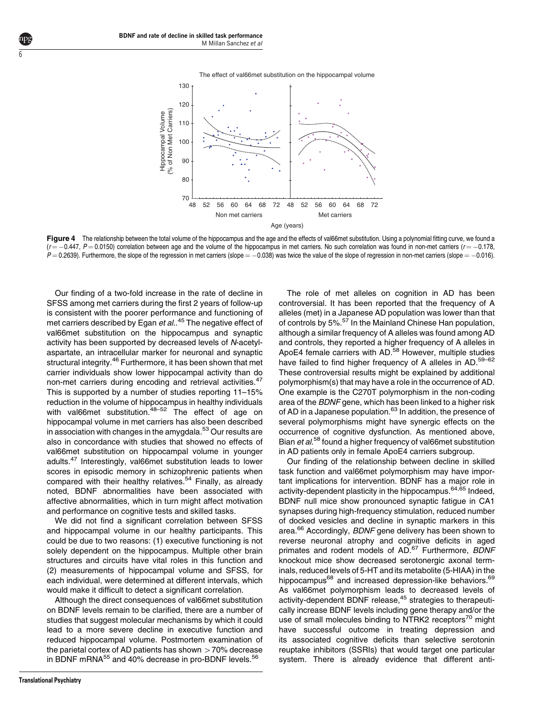



Figure 4 The relationship between the total volume of the hippocampus and the age and the effects of val66met substitution. Using a polynomial fitting curve, we found a  $(r = -0.447, P = 0.0150)$  correlation between age and the volume of the hippocampus in met carriers. No such correlation was found in non-met carriers ( $r = -0.178$ ,  $P = 0.2639$ ). Furthermore, the slope of the regression in met carriers (slope = -0.038) was twice the value of the slope of regression in non-met carriers (slope = -0.016).

Our finding of a two-fold increase in the rate of decline in SFSS among met carriers during the first 2 years of follow-up is consistent with the poorer performance and functioning of met carriers described by Egan et al..<sup>[45](#page-7-0)</sup> The negative effect of val66met substitution on the hippocampus and synaptic activity has been supported by decreased levels of N-acetylaspartate, an intracellular marker for neuronal and synaptic structural integrity.<sup>[46](#page-7-0)</sup> Furthermore, it has been shown that met carrier individuals show lower hippocampal activity than do non-met carriers during encoding and retrieval activities.<sup>[47](#page-7-0)</sup> This is supported by a number of studies reporting 11–15% reduction in the volume of hippocampus in healthy individuals with val66met substitution.<sup>[48–52](#page-7-0)</sup> The effect of age on hippocampal volume in met carriers has also been described in association with changes in the amygdala.<sup>[53](#page-7-0)</sup> Our results are also in concordance with studies that showed no effects of val66met substitution on hippocampal volume in younger adults[.47](#page-7-0) Interestingly, val66met substitution leads to lower scores in episodic memory in schizophrenic patients when compared with their healthy relatives.<sup>[54](#page-7-0)</sup> Finally, as already noted, BDNF abnormalities have been associated with affective abnormalities, which in turn might affect motivation and performance on cognitive tests and skilled tasks.

We did not find a significant correlation between SFSS and hippocampal volume in our healthy participants. This could be due to two reasons: (1) executive functioning is not solely dependent on the hippocampus. Multiple other brain structures and circuits have vital roles in this function and (2) measurements of hippocampal volume and SFSS, for each individual, were determined at different intervals, which would make it difficult to detect a significant correlation.

Although the direct consequences of val66met substitution on BDNF levels remain to be clarified, there are a number of studies that suggest molecular mechanisms by which it could lead to a more severe decline in executive function and reduced hippocampal volume. Postmortem examination of the parietal cortex of AD patients has shown  $>70\%$  decrease in BDNF mRNA<sup>[55](#page-7-0)</sup> and 40% decrease in pro-BDNF levels.<sup>[56](#page-7-0)</sup>

<span id="page-5-0"></span>6

The role of met alleles on cognition in AD has been controversial. It has been reported that the frequency of A alleles (met) in a Japanese AD population was lower than that of controls by 5%.<sup>[57](#page-7-0)</sup> In the Mainland Chinese Han population, although a similar frequency of A alleles was found among AD and controls, they reported a higher frequency of A alleles in ApoE4 female carriers with AD.<sup>[58](#page-7-0)</sup> However, multiple studies have failed to find higher frequency of A alleles in AD.<sup>59-62</sup> These controversial results might be explained by additional polymorphism(s) that may have a role in the occurrence of AD. One example is the C270T polymorphism in the non-coding area of the BDNF gene, which has been linked to a higher risk of AD in a Japanese population.<sup>[63](#page-7-0)</sup> In addition, the presence of several polymorphisms might have synergic effects on the occurrence of cognitive dysfunction. As mentioned above, Bian et al.<sup>[58](#page-7-0)</sup> found a higher frequency of val66met substitution in AD patients only in female ApoE4 carriers subgroup.

Our finding of the relationship between decline in skilled task function and val66met polymorphism may have important implications for intervention. BDNF has a major role in activity-dependent plasticity in the hippocampus.<sup>[64,65](#page-7-0)</sup> Indeed, BDNF null mice show pronounced synaptic fatigue in CA1 synapses during high-frequency stimulation, reduced number of docked vesicles and decline in synaptic markers in this area.<sup>[66](#page-7-0)</sup> Accordingly, *BDNF* gene delivery has been shown to reverse neuronal atrophy and cognitive deficits in aged primates and rodent models of AD.<sup>[67](#page-7-0)</sup> Furthermore, BDNF knockout mice show decreased serotonergic axonal terminals, reduced levels of 5-HT and its metabolite (5-HIAA) in the hippocampus<sup>[68](#page-7-0)</sup> and increased depression-like behaviors.<sup>[69](#page-7-0)</sup> As val66met polymorphism leads to decreased levels of activity-dependent BDNF release,<sup>[45](#page-7-0)</sup> strategies to therapeutically increase BDNF levels including gene therapy and/or the use of small molecules binding to NTRK2 receptors<sup>[70](#page-7-0)</sup> might have successful outcome in treating depression and its associated cognitive deficits than selective serotonin reuptake inhibitors (SSRIs) that would target one particular system. There is already evidence that different anti-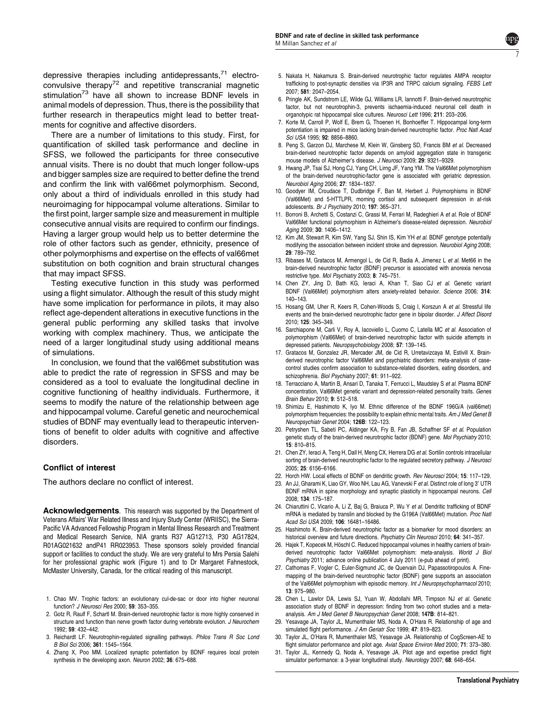7

<span id="page-6-0"></span>depressive therapies including antidepressants,<sup>71</sup> electro-convulsive therapy<sup>[72](#page-7-0)</sup> and repetitive transcranial magnetic stimulation<sup>73</sup> have all shown to increase BDNF levels in animal models of depression. Thus, there is the possibility that further research in therapeutics might lead to better treatments for cognitive and affective disorders.

There are a number of limitations to this study. First, for quantification of skilled task performance and decline in SFSS, we followed the participants for three consecutive annual visits. There is no doubt that much longer follow-ups and bigger samples size are required to better define the trend and confirm the link with val66met polymorphism. Second, only about a third of individuals enrolled in this study had neuroimaging for hippocampal volume alterations. Similar to the first point, larger sample size and measurement in multiple consecutive annual visits are required to confirm our findings. Having a larger group would help us to better determine the role of other factors such as gender, ethnicity, presence of other polymorphisms and expertise on the effects of val66met substitution on both cognition and brain structural changes that may impact SFSS.

Testing executive function in this study was performed using a flight simulator. Although the result of this study might have some implication for performance in pilots, it may also reflect age-dependent alterations in executive functions in the general public performing any skilled tasks that involve working with complex machinery. Thus, we anticipate the need of a larger longitudinal study using additional means of simulations.

In conclusion, we found that the val66met substitution was able to predict the rate of regression in SFSS and may be considered as a tool to evaluate the longitudinal decline in cognitive functioning of healthy individuals. Furthermore, it seems to modify the nature of the relationship between age and hippocampal volume. Careful genetic and neurochemical studies of BDNF may eventually lead to therapeutic interventions of benefit to older adults with cognitive and affective disorders.

#### Conflict of interest

The authors declare no conflict of interest.

Acknowledgements. This research was supported by the Department of Veterans Affairs' War Related Illness and Injury Study Center (WRIISC), the Sierra-Pacific VA Advanced Fellowship Program in Mental Illness Research and Treatment and Medical Research Service, NIA grants R37 AG12713, P30 AG17824, R01AG021632 andP41 RR023953. These sponsors solely provided financial support or facilities to conduct the study. We are very grateful to Mrs Persia Salehi for her professional graphic work ([Figure 1\) and to Dr Margaret Fahnestock,](#page-1-0) [McMaster University, Canada, for the critical reading of this manuscript.](#page-1-0)

- 1. Chao MV. Trophic factors: an evolutionary cul-de-sac or door into higher neuronal function? J Neurosci Res 2000; 59: 353–355.
- 2. Gotz R, Raulf F, Schartl M. Brain-derived neurotrophic factor is more highly conserved in structure and function than nerve growth factor during vertebrate evolution. J Neurochem 1992; 59: 432–442.
- 3. Reichardt LF. Neurotrophin-regulated signalling pathways. Philos Trans R Soc Lond B Biol Sci 2006; 361: 1545–1564.
- 4. Zhang X, Poo MM. Localized synaptic potentiation by BDNF requires local protein synthesis in the developing axon. Neuron 2002; 36: 675–688.
- 5. Nakata H, Nakamura S. Brain-derived neurotrophic factor regulates AMPA receptor trafficking to post-synaptic densities via IP3R and TRPC calcium signaling. FEBS Lett 2007; 581: 2047–2054.
- 6. Pringle AK, Sundstrom LE, Wilde GJ, Williams LR, Iannotti F. Brain-derived neurotrophic factor, but not neurotrophin-3, prevents ischaemia-induced neuronal cell death in organotypic rat hippocampal slice cultures. Neurosci Lett 1996; 211: 203–206.
- 7. Korte M, Carroll P, Wolf E, Brem G, Thoenen H, Bonhoeffer T. Hippocampal long-term potentiation is impaired in mice lacking brain-derived neurotrophic factor. Proc Natl Acad Sci USA 1995; 92: 8856–8860.
- 8. Peng S, Garzon DJ, Marchese M, Klein W, Ginsberg SD, Francis BM et al. Decreased brain-derived neurotrophic factor depends on amyloid aggregation state in transgenic mouse models of Alzheimer's disease. J Neurosci 2009; 29: 9321–9329.
- 9. Hwang JP, Tsai SJ, Hong CJ, Yang CH, Lirng JF, Yang YM. The Val66Met polymorphism of the brain-derived neurotrophic-factor gene is associated with geriatric depression. Neurobiol Aging 2006; 27: 1834–1837.
- 10. Goodyer IM, Croudace T, Dudbridge F, Ban M, Herbert J. Polymorphisms in BDNF (Val66Met) and 5-HTTLPR, morning cortisol and subsequent depression in at-risk adolescents. Br J Psychiatry 2010; 197: 365–371.
- 11. Borroni B, Archetti S, Costanzi C, Grassi M, Ferrari M, Radeghieri A et al. Role of BDNF Val66Met functional polymorphism in Alzheimer's disease-related depression. Neurobiol Aging 2009; 30: 1406–1412.
- 12. Kim JM, Stewart R, Kim SW, Yang SJ, Shin IS, Kim YH et al. BDNF genotype potentially modifying the association between incident stroke and depression. Neurobiol Aging 2008; 29: 789–792.
- 13. Ribases M, Gratacos M, Armengol L, de Cid R, Badia A, Jimenez L et al. Met66 in the brain-derived neurotrophic factor (BDNF) precursor is associated with anorexia nervosa restrictive type. Mol Psychiatry 2003; 8: 745–751.
- 14. Chen ZY, Jing D, Bath KG, Ieraci A, Khan T, Siao CJ et al. Genetic variant BDNF (Val66Met) polymorphism alters anxiety-related behavior. Science 2006; 314: 140–143.
- 15. Hosang GM, Uher R, Keers R, Cohen-Woods S, Craig I, Korszun A et al. Stressful life events and the brain-derived neurotrophic factor gene in bipolar disorder. J Affect Disord 2010; 125: 345–349.
- 16. Sarchiapone M, Carli V, Roy A, Iacoviello L, Cuomo C, Latella MC et al. Association of polymorphism (Val66Met) of brain-derived neurotrophic factor with suicide attempts in depressed patients. Neuropsychobiology 2008; 57: 139–145.
- 17. Gratacos M, Gonzalez JR, Mercader JM, de Cid R, Urretavizcaya M, Estivill X. Brainderived neurotrophic factor Val66Met and psychiatric disorders: meta-analysis of casecontrol studies confirm association to substance-related disorders, eating disorders, and schizophrenia. Biol Psychiatry 2007; 61: 911–922.
- 18. Terracciano A, Martin B, Ansari D, Tanaka T, Ferrucci L, Maudsley S et al. Plasma BDNF concentration, Val66Met genetic variant and depression-related personality traits. Genes Brain Behav 2010; 9: 512–518.
- 19. Shimizu E, Hashimoto K, Iyo M. Ethnic difference of the BDNF 196G/A (val66met) polymorphism frequencies: the possibility to explain ethnic mental traits. Am J Med Genet B Neuropsychiatr Genet 2004; 126B: 122–123.
- 20. Petryshen TL, Sabeti PC, Aldinger KA, Fry B, Fan JB, Schaffner SF et al. Population genetic study of the brain-derived neurotrophic factor (BDNF) gene. Mol Psychiatry 2010; 15: 810–815.
- 21. Chen ZY, Ieraci A, Teng H, Dall H, Meng CX, Herrera DG et al. Sortilin controls intracellular sorting of brain-derived neurotrophic factor to the regulated secretory pathway. J Neurosci 2005; 25: 6156–6166.
- 22. Horch HW. Local effects of BDNF on dendritic growth. Rev Neurosci 2004; 15: 117–129.
- 23. An JJ, Gharami K, Liao GY, Woo NH, Lau AG, Vaneyski F et al. Distinct role of long 3' UTR BDNF mRNA in spine morphology and synaptic plasticity in hippocampal neurons. Cell 2008; 134: 175–187.
- 24. Chiaruttini C, Vicario A, Li Z, Baj G, Braiuca P, Wu Y et al. Dendritic trafficking of BDNF mRNA is mediated by translin and blocked by the G196A (Val66Met) mutation. Proc Natl Acad Sci USA 2009; 106: 16481–16486.
- 25. Hashimoto K. Brain-derived neurotrophic factor as a biomarker for mood disorders: an historical overview and future directions. Psychiatry Clin Neurosci 2010; 64: 341-357.
- 26. Hajek T, Kopecek M, Höschl C. Reduced hippocampal volumes in healthy carriers of brainderived neurotrophic factor Val66Met polymorphism: meta-analysis. World J Biol Psychiatry 2011; advance online publication 4 July 2011 (e-pub ahead of print).
- 27. Cathomas F, Vogler C, Euler-Sigmund JC, de Quervain DJ, Papassotiropoulos A. Finemapping of the brain-derived neurotrophic factor (BDNF) gene supports an association of the Val66Met polymorphism with episodic memory. Int J Neuropsychopharmacol 2010; 13: 975–980.
- 28. Chen L, Lawlor DA, Lewis SJ, Yuan W, Abdollahi MR, Timpson NJ et al. Genetic association study of BDNF in depression: finding from two cohort studies and a metaanalysis. Am J Med Genet B Neuropsychiatr Genet 2008; 147B: 814–821.
- 29. Yesavage JA, Taylor JL, Mumenthaler MS, Noda A, O'Hara R. Relationship of age and simulated flight performance. J Am Geriatr Soc 1999; 47: 819–823.
- 30. Taylor JL, O'Hara R, Mumenthaler MS, Yesavage JA. Relationship of CogScreen-AE to flight simulator performance and pilot age. Aviat Space Environ Med 2000; 71: 373–380.
- 31. Taylor JL, Kennedy Q, Noda A, Yesavage JA. Pilot age and expertise predict flight simulator performance: a 3-year longitudinal study. Neurology 2007; 68: 648–654.